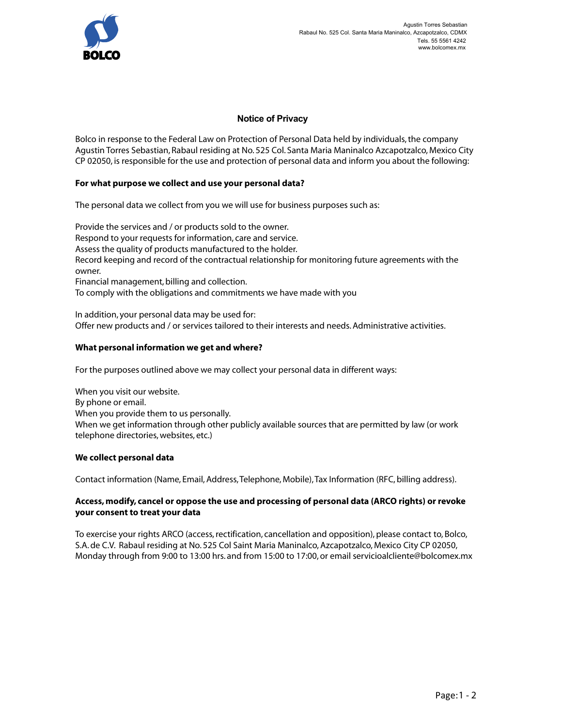

## **Notice of Privacy**

Bolco in response to the Federal Law on Protection of Personal Data held by individuals, the company Agustin Torres Sebastian, Rabaul residing at No. 525 Col. Santa Maria Maninalco Azcapotzalco, Mexico City CP 02050, is responsible for the use and protection of personal data and inform you about the following:

#### **For what purpose we collect and use your personal data?**

The personal data we collect from you we will use for business purposes such as:

Provide the services and / or products sold to the owner. Respond to your requests for information, care and service. Assess the quality of products manufactured to the holder. Record keeping and record of the contractual relationship for monitoring future agreements with the owner. Financial management, billing and collection. To comply with the obligations and commitments we have made with you

In addition, your personal data may be used for: Offer new products and / or services tailored to their interests and needs. Administrative activities.

### **What personal information we get and where?**

For the purposes outlined above we may collect your personal data in different ways:

When you visit our website. By phone or email. When you provide them to us personally. When we get information through other publicly available sources that are permitted by law (or work telephone directories, websites, etc.)

#### **We collect personal data**

Contact information (Name, Email, Address, Telephone, Mobile), Tax Information (RFC, billing address).

#### **Access, modify, cancel or oppose the use and processing of personal data (ARCO rights) or revoke your consent to treat your data**

To exercise your rights ARCO (access, rectification, cancellation and opposition), please contact to, Bolco, S.A. de C.V. Rabaul residing at No. 525 Col Saint Maria Maninalco, Azcapotzalco, Mexico City CP 02050, Monday through from 9:00 to 13:00 hrs. and from 15:00 to 17:00, or email servicioalcliente@bolcomex.mx